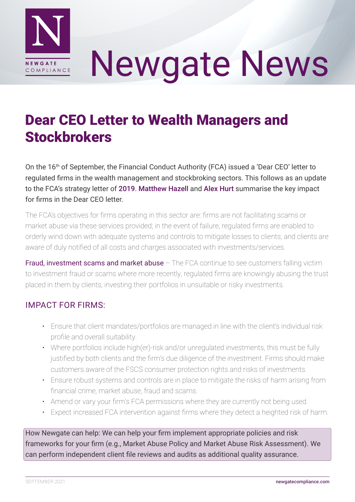

# Newgate News

## Dear CEO Letter to Wealth Managers and **Stockbrokers**

On the 16th of September, the Financial Conduct Authority (FCA) issued a 'Dear CEO' letter to regulated firms in the wealth management and stockbroking sectors. This follows as an update to the FCA's strategy letter of [2019](https://www.fca.org.uk/publication/correspondence/portfolio-letter-wealth-managers-stockbrokers.pdf). [Matthew Hazell](https://www.linkedin.com/in/matthew-hazell-20b8763a/) and [Alex Hurt](https://www.linkedin.com/in/alexander-j-hurt/) summarise the key impact for firms in the Dear CEO letter.

The FCA's objectives for firms operating in this sector are: firms are not facilitating scams or market abuse via these services provided; in the event of failure, regulated firms are enabled to orderly wind down with adequate systems and controls to mitigate losses to clients; and clients are aware of duly notified of all costs and charges associated with investments/services.

Fraud, investment scams and market abuse – The FCA continue to see customers falling victim to investment fraud or scams where more recently, regulated firms are knowingly abusing the trust placed in them by clients, investing their portfolios in unsuitable or risky investments.

### IMPACT FOR FIRMS:

- Ensure that client mandates/portfolios are managed in line with the client's individual risk profile and overall suitability.
- Where portfolios include high(er)-risk and/or unregulated investments, this must be fully justified by both clients and the firm's due diligence of the investment. Firms should make customers aware of the FSCS consumer protection rights and risks of investments.
- Ensure robust systems and controls are in place to mitigate the risks of harm arising from financial crime, market abuse, fraud and scams.
- Amend or vary your firm's FCA permissions where they are currently not being used.
- Expect increased FCA intervention against firms where they detect a heighted risk of harm.

How Newgate can help: We can help your firm implement appropriate policies and risk frameworks for your firm (e.g., Market Abuse Policy and Market Abuse Risk Assessment). We can perform independent client file reviews and audits as additional quality assurance.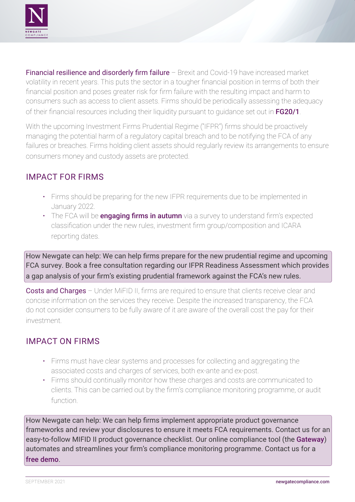

Financial resilience and disorderly firm failure – Brexit and Covid-19 have increased market volatility in recent years. This puts the sector in a tougher financial position in terms of both their financial position and poses greater risk for firm failure with the resulting impact and harm to consumers such as access to client assets. Firms should be periodically assessing the adequacy of their financial resources including their liquidity pursuant to quidance set out in [FG20/1](https://www.fca.org.uk/publications/finalised-guidance/fg20-1-assessing-adequate-financial-resources).

With the upcoming Investment Firms Prudential Regime ("IFPR") firms should be proactively managing the potential harm of a regulatory capital breach and to be notifying the FCA of any failures or breaches. Firms holding client assets should regularly review its arrangements to ensure consumers money and custody assets are protected.

#### IMPACT FOR FIRMS

- Firms should be preparing for the new IFPR requirements due to be implemented in January 2022.
- The FCA will be **[engaging firms in autumn](https://www.fca.org.uk/firms/investment-firms-prudential-regime-ifpr)** via a survey to understand firm's expected classification under the new rules, investment firm group/composition and ICARA reporting dates.

How Newgate can help: We can help firms prepare for the new prudential regime and upcoming FCA survey. Book a free consultation regarding our IFPR Readiness Assessment which provides a gap analysis of your firm's existing prudential framework against the FCA's new rules.

**Costs and Charges** – Under MiFID II, firms are required to ensure that clients receive clear and concise information on the services they receive. Despite the increased transparency, the FCA do not consider consumers to be fully aware of it are aware of the overall cost the pay for their investment.

#### IMPACT ON FIRMS

- Firms must have clear systems and processes for collecting and aggregating the associated costs and charges of services, both ex-ante and ex-post.
- Firms should continually monitor how these charges and costs are communicated to clients. This can be carried out by the firm's compliance monitoring programme, or audit function.

How Newgate can help: We can help firms implement appropriate product governance frameworks and review your disclosures to ensure it meets FCA requirements. Contact us for an easy-to-follow MIFID II product governance checklist. Our online compliance tool (the [Gateway](http://newgatecompliance.com/the-gateway-copy)) automates and streamlines your firm's compliance monitoring programme. Contact us for a [free demo](http://newgatecompliance.com/contact-us).